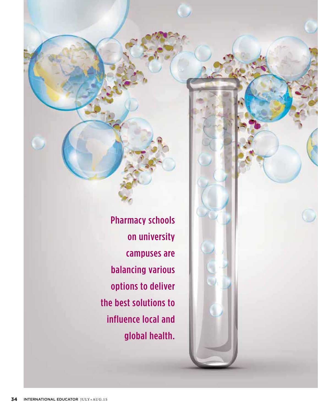Pharmacy schools on university campuses are balancing various options to deliver the best solutions to influence local and global health.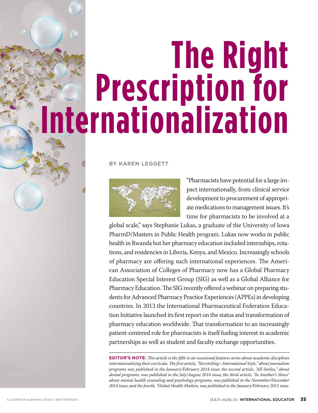# **The Right Prescription for Internationalization**

BY KAREN LEGGETT



"Pharmacists have potential for a large impact internationally, from clinical service development to procurement of appropriate medications to management issues. It's time for pharmacists to be involved at a

global scale," says Stephanie Lukas, a graduate of the University of Iowa PharmD/Masters in Public Health program. Lukas now works in public health in Rwanda but her pharmacy education included internships, rotations, and residencies in Liberia, Kenya, and Mexico. Increasingly schools of pharmacy are offering such international experiences. The American Association of Colleges of Pharmacy now has a Global Pharmacy Education Special Interest Group (SIG) as well as a Global Alliance for Pharmacy Education. The SIG recently offered a webinar on preparing students for Advanced Pharmacy Practice Experiences (APPEs) in developing countries. In 2013 the International Pharmaceutical Federation Education Initiative launched its first report on the status and transformation of pharmacy education worldwide. That transformation to an increasingly patient-centered role for pharmacists is itself fueling interest in academic partnerships as well as student and faculty exchange opportunities.

**EDITOR'S NOTE:** *This article is the fifth in an occasional features series about academic disciplines internationalizing their curricula. The first article, "Storytelling—International Style," about journalism programs was published in the January/February 2014 issue; the second article, "All Smiles," about dental programs, was published in the July/August 2014 issue; the third article, "In Another's Shoes" about mental health counseling and psychology programs, was published in the November/December 2014 issue; and the fourth, "Global Health Matters, was published in the January/February 2015 issue.*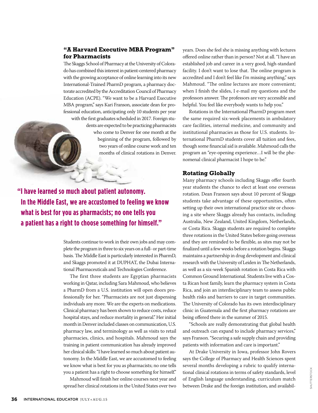#### **"A Harvard Executive MBA Program" for Pharmacists**

The Skaggs School of Pharmacy at the University of Colorado has combined this interest in patient-centered pharmacy with the growing acceptance of online learning into its new International-Trained PharmD program, a pharmacy doctorate accredited by the Accreditation Council of Pharmacy Education (ACPE). "We want to be a Harvard Executive MBA program," says Kari Franson, associate dean for professional education, anticipating only 10 students per year with the first graduates scheduled in 2017. Foreign students are expected to be practicing pharmacists who come to Denver for one month at the beginning of the program, followed by two years of online course work and ten months of clinical rotations in Denver.

**"I have learned so much about patient autonomy. In the Middle East, we are accustomed to feeling we know what is best for you as pharmacists; no one tells you a patient has a right to choose something for himself."**

> Students continue to work in their own jobs and may complete the program in three to six years on a full- or part-time basis. The Middle East is particularly interested in PharmD, and Skaggs promoted it at DUPHAT, the Dubai International Pharmaceuticals and Technologies Conference.

> The first three students are Egyptian pharmacists working in Qatar, including Sara Mahmoud, who believes a PharmD from a U.S. institution will open doors professionally for her. "Pharmacists are not just dispensing individuals any more. We are the experts on medications. Clinical pharmacy has been shown to reduce costs, reduce hospital stays, and reduce mortality in general." Her initial month in Denver included classes on communication, U.S. pharmacy law, and terminology as well as visits to retail pharmacies, clinics, and hospitals. Mahmoud says the training in patient communication has already improved her clinical skills: "I have learned so much about patient autonomy. In the Middle East, we are accustomed to feeling we know what is best for you as pharmacists; no one tells you a patient has a right to choose something for himself."

> Mahmoud will finish her online courses next year and spread her clinical rotations in the United States over two

years. Does she feel she is missing anything with lectures offered online rather than in person? Not at all. "I have an established job and career in a very good, high-standard facility. I don't want to lose that. The online program is accredited and I don't feel like I'm missing anything," says Mahmoud. "The online lectures are more convenient; when I finish the slides, I e-mail my questions and the professors answer. The professors are very accessible and helpful. You feel like everybody wants to help you."

Rotations in the International PharmD program meet the same required six-week placements in ambulatory care facilities, internal medicine, and community and institutional pharmacies as those for U.S. students. International PharmD students cover all tuition and fees, though some financial aid is available. Mahmoud calls the program an "eye-opening experience…I will be the phenomenal clinical pharmacist I hope to be."

#### **Rotating Globally**

Many pharmacy schools including Skaggs offer fourth year students the chance to elect at least one overseas rotation. Dean Franson says about 10 percent of Skaggs students take advantage of these opportunities, often setting up their own international practice site or choosing a site where Skaggs already has contacts, including Australia, New Zealand, United Kingdom, Netherlands, or Costa Rica. Skaggs students are required to complete three rotations in the United States before going overseas and they are reminded to be flexible, as sites may not be finalized until a few weeks before a rotation begins. Skaggs maintains a partnership in drug development and clinical research with the University of Leiden in The Netherlands, as well as a six-week Spanish rotation in Costa Rica with Common Ground International. Students live with a Costa Rican host family, learn the pharmacy system in Costa Rica, and join an interdisciplinary team to assess public health risks and barriers to care in target communities. The University of Colorado has its own interdisciplinary clinic in Guatemala and the first pharmacy rotations are being offered there in the summer of 2015.

"Schools are really demonstrating that global health and outreach can expand to include pharmacy services," says Franson. "Securing a safe supply chain and providing patients with information and care is important."

At Drake University in Iowa, professor John Rovers says the College of Pharmacy and Health Sciences spent several months developing a rubric to qualify international clinical rotations in terms of safety standards, level of English language understanding, curriculum match between Drake and the foreign institution, and availabil-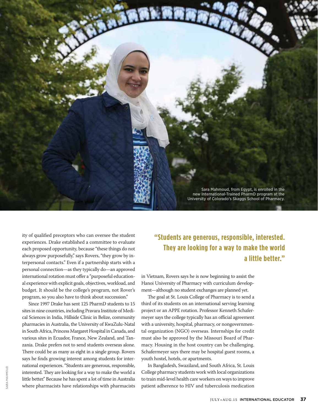

ity of qualified preceptors who can oversee the student experiences. Drake established a committee to evaluate each proposed opportunity, because "these things do not always grow purposefully," says Rovers, "they grow by interpersonal contacts." Even if a partnership starts with a personal connection—as they typically do—an approved international rotation must offer a "purposeful educational experience with explicit goals, objectives, workload, and budget. It should be the college's program, not Rover's program, so you also have to think about succession."

Since 1997 Drake has sent 125 PharmD students to 15 sites in nine countries, including Pravara Institute of Medical Sciences in India, Hillside Clinic in Belize, community pharmacies in Australia, the University of KwaZulu-Natal in South Africa, Princess Margaret Hospital in Canada, and various sites in Ecuador, France, New Zealand, and Tanzania. Drake prefers not to send students overseas alone. There could be as many as eight in a single group. Rovers says he finds growing interest among students for international experiences. "Students are generous, responsible, interested. They are looking for a way to make the world a little better." Because he has spent a lot of time in Australia where pharmacists have relationships with pharmacists

#### **"Students are generous, responsible, interested. They are looking for a way to make the world a little better."**

in Vietnam, Rovers says he is now beginning to assist the Hanoi University of Pharmacy with curriculum development—although no student exchanges are planned yet.

The goal at St. Louis College of Pharmacy is to send a third of its students on an international serving learning project or an APPE rotation. Professor Kenneth Schafermeyer says the college typically has an official agreement with a university, hospital, pharmacy, or nongovernmental organization (NGO) overseas. Internships for credit must also be approved by the Missouri Board of Pharmacy. Housing in the host country can be challenging. Schafermeyer says there may be hospital guest rooms, a youth hostel, hotels, or apartments.

In Bangladesh, Swaziland, and South Africa, St. Louis College pharmacy students work with local organizations to train mid-level health care workers on ways to improve patient adherence to HIV and tuberculosis medication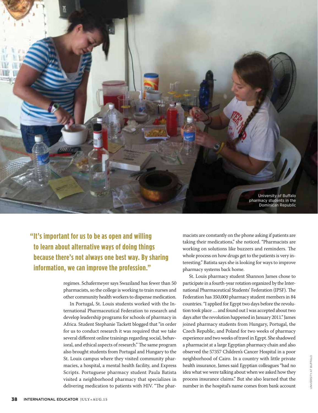

**"It's important for us to be as open and willing to learn about alternative ways of doing things because there's not always one best way. By sharing information, we can improve the profession."** 

> regimes. Schafermeyer says Swaziland has fewer than 50 pharmacists, so the college is working to train nurses and other community health workers to dispense medication.

> In Portugal, St. Louis students worked with the International Pharmaceutical Federation to research and develop leadership programs for schools of pharmacy in Africa. Student Stephanie Tackett blogged that "in order for us to conduct research it was required that we take several different online trainings regarding social, behavioral, and ethical aspects of research." The same program also brought students from Portugal and Hungary to the St. Louis campus where they visited community pharmacies, a hospital, a mental health facility, and Express Scripts. Portuguese pharmacy student Paula Batista visited a neighborhood pharmacy that specializes in delivering medication to patients with HIV. "The phar

macists are constantly on the phone asking if patients are taking their medications," she noticed. "Pharmacists are working on solutions like buzzers and reminders. The whole process on how drugs get to the patients is very interesting." Batista says she is looking for ways to improve pharmacy systems back home.

St. Louis pharmacy student Shannon James chose to participate in a fourth-year rotation organized by the International Pharmaceutical Students' Federation (IPSF). The Federation has 350,000 pharmacy student members in 84 countries. "I applied for Egypt two days before the revolution took place … and found out I was accepted about two days after the revolution happened in January 2011." James joined pharmacy students from Hungary, Portugal, the Czech Republic, and Poland for two weeks of pharmacy experience and two weeks of travel in Egypt. She shadowed a pharmacist at a large Egyptian pharmacy chain and also observed the 57357 Children's Cancer Hospital in a poor neighborhood of Cairo. In a country with little private health insurance, James said Egyptian colleagues "had no idea what we were talking about when we asked how they process insurance claims." But she also learned that the number in the hospital's name comes from bank account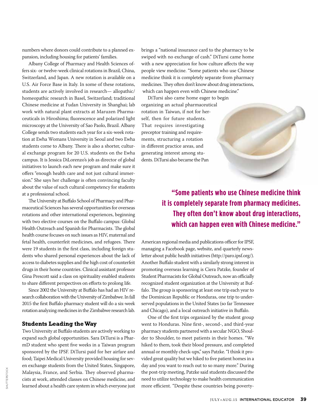numbers where donors could contribute to a planned expansion, including housing for patients' families.

Albany College of Pharmacy and Health Sciences offers six- or twelve-week clinical rotations in Brazil, China, Switzerland, and Japan. A new rotation is available on a U.S. Air Force Base in Italy. In some of these rotations, students are actively involved in research— allopathic/ homeopathic research in Basel, Switzerland; traditional Chinese medicine at Fudan University in Shanghai; lab work with natural plant extracts at Maruzen Pharmaceuticals in Hiroshima; fluorescence and polarized light microscopy at the University of Sao Paolo, Brazil. Albany College sends two students each year for a six-week rotation at Ewha Womans University in Seoul and two Ewha students come to Albany. There is also a shorter, cultural exchange program for 20 U.S. students on the Ewha campus. It is Jessica DiLorenzo's job as director of global initiatives to launch each new program and make sure it offers "enough health care and not just cultural immersion." She says her challenge is often convincing faculty about the value of such cultural competency for students at a professional school.

The University at Buffalo School of Pharmacy and Pharmaceutical Sciences has several opportunities for overseas rotations and other international experiences, beginning with two elective courses on the Buffalo campus: Global Health Outreach and Spanish for Pharmacists. The global health course focuses on such issues as HIV, maternal and fetal health, counterfeit medicines, and refugees. There were 19 students in the first class, including foreign students who shared personal experiences about the lack of access to diabetes supplies and the high cost of counterfeit drugs in their home countries. Clinical assistant professor Gina Prescott said a class on spirituality enabled students to share different perspectives on efforts to prolong life.

Since 2002 the University at Buffalo has had an HIV research collaboration with the University of Zimbabwe. In fall 2015 the first Buffalo pharmacy student will do a six-week rotation analyzing medicines in the Zimbabwe research lab.

#### **Students Leading the Way**

Two University at Buffalo students are actively working to expand such global opportunities. Sara DiTursi is a PharmD student who spent five weeks in a Taiwan program sponsored by the IPSF. DiTursi paid for her airfare and food; Taipei Medical University provided housing for seven exchange students from the United States, Singapore, Malaysia, France, and Serbia. They observed pharmacists at work, attended classes on Chinese medicine, and learned about a health care system in which everyone just brings a "national insurance card to the pharmacy to be swiped with no exchange of cash." DiTursi came home with a new appreciation for how culture affects the way people view medicine. "Some patients who use Chinese medicine think it is completely separate from pharmacy medicines. They often don't know about drug interactions, which can happen even with Chinese medicine."

DiTursi also came home eager to begin organizing an actual pharmaceutical rotation in Taiwan, if not for herself, then for future students. That requires investigating preceptor training and requirements, structuring a rotation in different practice areas, and generating interest among students. DiTursi also became the Pan

### **"Some patients who use Chinese medicine think it is completely separate from pharmacy medicines. They often don't know about drug interactions, which can happen even with Chinese medicine."**

American regional media and publications officer for IPSF, managing a Facebook page, website, and quarterly newsletter about public health initiatives (http://paro.ipsf.org/). Another Buffalo student with a similarly strong interest in promoting overseas learning is Ciera Patzke, founder of Student Pharmacists for Global Outreach, now an officially recognized student organization at the University at Buffalo. The group is sponsoring at least one trip each year to the Dominican Republic or Honduras, one trip to underserved populations in the United States (so far Tennessee and Chicago), and a local outreach initiative in Buffalo.

One of the first trips organized by the student group went to Honduras. Nine first-, second-, and third-year pharmacy students partnered with a secular NGO, Shoulder to Shoulder, to meet patients in their homes. "We hiked to them, took their blood pressure, and completed annual or monthly check-ups," says Patzke. "I think it provided great quality but we hiked to five patient homes in a day and you want to reach out to so many more." During the post-trip meeting, Patzke said students discussed the need to utilize technology to make health communication more efficient. "Despite these countries being poverty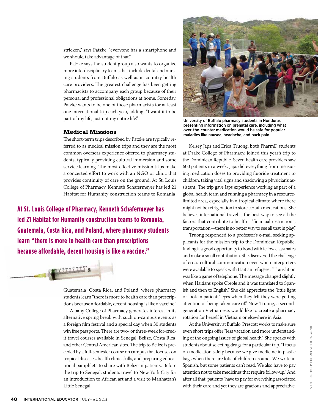stricken," says Patzke, "everyone has a smartphone and we should take advantage of that."

Patzke says the student group also wants to organize more interdisciplinary teams that include dental and nursing students from Buffalo as well as in-country health care providers. The greatest challenge has been getting pharmacists to accompany each group because of their personal and professional obligations at home. Someday, Patzke wants to be one of those pharmacists for at least one international trip each year, adding, "I want it to be part of my life, just not my entire life."

#### **Medical Missions**

The short-term trips described by Patzke are typically referred to as medical mission trips and they are the most common overseas experience offered to pharmacy students, typically providing cultural immersion and some service learning. The most effective mission trips make a concerted effort to work with an NGO or clinic that provides continuity of care on the ground. At St. Louis College of Pharmacy, Kenneth Schafermeyer has led 21 Habitat for Humanity construction teams to Romania,

**At St. Louis College of Pharmacy, Kenneth Schafermeyer has led 21 Habitat for Humanity construction teams to Romania, Guatemala, Costa Rica, and Poland, where pharmacy students learn "there is more to health care than prescriptions because affordable, decent housing is like a vaccine."**



Guatemala, Costa Rica, and Poland, where pharmacy students learn "there is more to health care than prescriptions because affordable, decent housing is like a vaccine."

Albany College of Pharmacy generates interest in its alternative spring break with such on-campus events as a foreign film festival and a special day when 30 students win free passports. There are two- or three-week for-credit travel courses available in Senegal, Belize, Costa Rica, and other Central American sites. The trip to Belize is preceded by a full-semester course on campus that focuses on tropical diseases, health clinic skills, and preparing educational pamphlets to share with Belizean patients. Before the trip to Senegal, students travel to New York City for an introduction to African art and a visit to Manhattan's Little Senegal.



University of Buffalo pharmacy students in Honduras presenting information on prenatal care, including what over-the-counter medication would be safe for popular maladies like nausea, headache, and back pain.

Kelsey Japs and Erica Truong, both PharmD students at Drake College of Pharmacy, joined this year's trip to the Dominican Republic. Seven health care providers saw 600 patients in a week. Japs did everything from measuring medication doses to providing fluoride treatment to children, taking vital signs and shadowing a physician's assistant. The trip gave Japs experience working as part of a global health team and running a pharmacy in a resourcelimited area, especially in a tropical climate where there might not be refrigeration to store certain medications. She believes international travel is the best way to see all the factors that contribute to health—"financial restrictions, transportation—there is no better way to see all that in play."

Truong responded to a professor's e-mail seeking applicants for the mission trip to the Dominican Republic, finding it a good opportunity to bond with fellow classmates and make a small contribution. She discovered the challenge of cross-cultural communication even when interpreters were available to speak with Haitian refugees. "Translation was like a game of telephone. The message changed slightly when Haitians spoke Creole and it was translated to Spanish and then to English." She did appreciate the "little light or look in patients' eyes when they felt they were getting attention or being taken care of." Now Truong, a secondgeneration Vietnamese, would like to create a pharmacy rotation for herself in Vietnam or elsewhere in Asia.

At the University at Buffalo, Prescott works to make sure even short trips offer "less vacation and more understanding of the ongoing issues of global health." She speaks with students about selecting drugs for a particular trip. "I focus on medication safety because we give medicine in plastic bags when there are lots of children around. We write in Spanish, but some patients can't read. We also have to pay attention not to take medicines that require follow-up." And after all that, patients "have to pay for everything associated with their care and yet they are gracious and appreciative.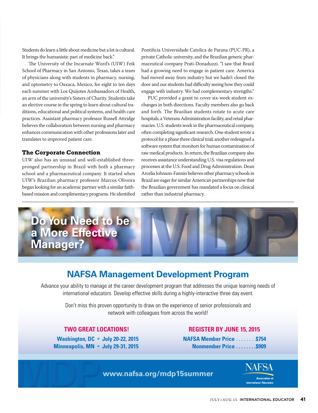Students do learn a little about medicine but a lot is cultural. It brings the humanistic part of medicine back."

The University of the Incarnate Word's (UIW) Feik School of Pharmacy in San Antonio, Texas, takes a team of physicians along with students in pharmacy, nursing, and optometry to Oaxaca, Mexico, for eight to ten days each summer with Los Quijotes Ambassadors of Health, an arm of the university's Sisters of Charity. Students take an elective course in the spring to learn about cultural traditions, educational and political systems, and health care practices. Assistant pharmacy professor Russell Attridge believes the collaboration between nursing and pharmacy enhances communication with other professions later and translates to improved patient care.

#### **The Corporate Connection**

UIW also has an unusual and well-established threepronged partnership in Brazil with both a pharmacy school and a pharmaceutical company. It started when UIW's Brazilian pharmacy professor Marcos Oliveira began looking for an academic partner with a similar faithbased mission and complimentary programs. He identified

Pontificia Universidade Catolica de Parana (PUC-PR), a private Catholic university, and the Brazilian generic pharmaceutical company Prati-Donaduzzi. "I saw that Brazil had a growing need to engage in patient care. America had moved away from industry but we hadn't closed the door and our students had difficulty seeing how they could engage with industry. We had complementary strengths."

PUC provided a grant to cover six-week student exchanges in both directions. Faculty members also go back and forth. The Brazilian students rotate to acute care hospitals, a Veterans Administration facility, and retail pharmacies. U.S. students work in the pharmaceutical company, often completing significant research. One student wrote a protocol for a phase three clinical trial; another redesigned a software system that monitors for human contamination of raw medical products. In return, the Brazilian company also receives assistance understanding U.S. visa regulations and processes at the U.S. Food and Drug Administration. Dean Arcelia Johnson-Fannin believes other pharmacy schools in Brazil are eager for similar American partnerships now that the Brazilian government has mandated a focus on clinical rather than industrial pharmacy.



#### **NAFSA Management Development Program**

Advance your ability to manage at the career development program that addresses the unique learning needs of international educators. Develop effective skills during a highly-interactive three day event.

> Don't miss this proven opportunity to draw on the experience of senior professionals and network with colleagues from across the world!

 **Minneapolis, MN •** July 29-31, 2015 **Nonmember Price . . . . . . . . \$909** 

#### **TWO GREAT LOCATIONS! REGISTER BY JUNE 15, 2015**

 **Washington, DC • July 20-22, 2015 NAFSA Member Price . . . . . . . .\$754**

**www.nafsa.org/mdp15summer**

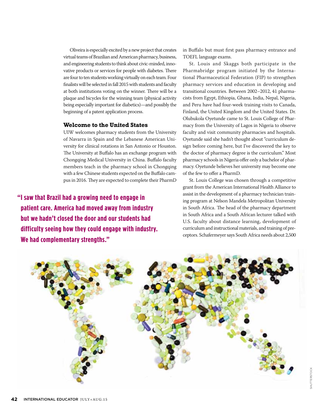Oliveira is especially excited by a new project that creates virtual teams of Brazilian and American pharmacy, business, and engineering students to think about civic-minded, innovative products or services for people with diabetes. There are four to ten students working virtually on each team. Four finalists will be selected in fall 2015 with students and faculty at both institutions voting on the winner. There will be a plaque and bicycles for the winning team (physical activity being especially important for diabetics)—and possibly the beginning of a patent application process.

#### **Welcome to the United States**

UIW welcomes pharmacy students from the University of Navarra in Spain and the Lebanese American University for clinical rotations in San Antonio or Houston. The University at Buffalo has an exchange program with Chongqing Medical University in China. Buffalo faculty members teach in the pharmacy school in Chongqing with a few Chinese students expected on the Buffalo campus in 2016. They are expected to complete their PharmD

**"I saw that Brazil had a growing need to engage in patient care. America had moved away from industry but we hadn't closed the door and our students had difficulty seeing how they could engage with industry. We had complementary strengths."**

in Buffalo but must first pass pharmacy entrance and TOEFL language exams.

St. Louis and Skaggs both participate in the Pharmabridge program initiated by the International Pharmaceutical Federation (FIP) to strengthen pharmacy services and education in developing and transitional countries. Between 2002–2012, 41 pharmacists from Egypt, Ethiopia, Ghana, India, Nepal, Nigeria, and Peru have had four-week training visits to Canada, Finland, the United Kingdom and the United States. Dr. Olubukola Oyetunde came to St. Louis College of Pharmacy from the University of Lagos in Nigeria to observe faculty and visit community pharmacies and hospitals. Oyetunde said she hadn't thought about "curriculum design before coming here, but I've discovered the key to the doctor of pharmacy degree is the curriculum." Most pharmacy schools in Nigeria offer only a bachelor of pharmacy. Oyetunde believes her university may become one of the few to offer a PharmD.

St. Louis College was chosen through a competitive grant from the American International Health Alliance to assist in the development of a pharmacy technician training program at Nelson Mandela Metropolitan University in South Africa. The head of the pharmacy department in South Africa and a South African lecturer talked with U.S. faculty about distance learning, development of curriculum and instructional materials, and training of preceptors. Schafermeyer says South Africa needs about 2,500